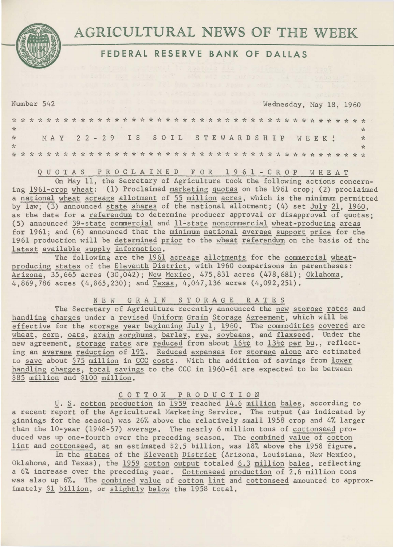

# AGRICULTURAL NEWS OF THE WEEK FEDERAL RESERVE BANK OF DALLAS

Number 542 Wednesday, May 18, 1960

| $\frac{1}{2}$ |  |  |  |  |  |  |                                     |  |  |  |  |  |  |  |  |  |  |  |  |  |  |         |
|---------------|--|--|--|--|--|--|-------------------------------------|--|--|--|--|--|--|--|--|--|--|--|--|--|--|---------|
| $x^2$         |  |  |  |  |  |  | MAY 22-29 IS SOIL STEWARDSHIP WEEK! |  |  |  |  |  |  |  |  |  |  |  |  |  |  | $\star$ |
| $\frac{1}{2}$ |  |  |  |  |  |  |                                     |  |  |  |  |  |  |  |  |  |  |  |  |  |  |         |
|               |  |  |  |  |  |  |                                     |  |  |  |  |  |  |  |  |  |  |  |  |  |  |         |

# <sup>Q</sup>U 0 T A S PROCLAIMED F 0 R 1 9 6 1 - C R 0 P WHEAT

On May 11, the Secretary of Agriculture took the following actions concerning 1961-crop wheat: (1) Proclaimed marketing quotas on the 1961 crop; (2) proclaimed a national wheat acreage allotment of 55 million acres, which is the minimum permitted by  $\overline{law}$ ; (3) announced state shares of the national allotment; (4) set July 21, 1960, as the date for a referendum to determine producer approval or disapproval of quotas; (5) announced 39-state commercial and 11-state noncommercial wheat-producing areas for 1961; and (6) announced that the minimum national average support price for the 1961 production will be determined prior to the wheat referendum on the basis of the latest available supply information.

The following are the 1961 acreage allotments for the commercial wheatproducing states of the Eleventh District, with 1960 comparisons in parentheses: Arizona, 35,665 acres (30,042); New Mexico, 475,831 acres (478,681); Oklahoma, 4,869,786 acres (4,865,230); and Texas, 4,047,136 acres (4,092,251).

# NEW G R A I N S T 0 R A G E R A T E S

The Secretary of Agriculture recently announced the new storage rates and handling charges under a revised Uniform Grain Storage Agreement, which will be effective for the storage year beginning July 1, 1960. The commodities covered are wheat, corn, oats, grain sorghums, barley, rye, soybeans, and flaxseed. Under the new agreement, storage rates are reduced from about  $16\frac{1}{2}$  to  $13\frac{1}{2}$  per bu., reflecting an average reduction of 19%. Reduced expenses for storage alone are estimated to save about \$75 million in CCC costs. With the addition of savings from lower to save about \$75 million in CCC costs. With the addition of savings from lower<br>handling charges, total savings to the CCC in 1960-61 are expected to be between \$85 million and \$100 million.

# C 0 T T 0 N P R 0 D U C T I 0 N

U. S. cotton production in 1959 reached 14.6 million bales, according to a recent report of the Agricultural Marketing Service. The output (as indicated by ginnings for the season) was 26% above the relatively small 1958 crop and 4% larger than the 10-year (1948-57) average. The nearly 6 million tons of cottonseed produced was up one-fourth over the preceding season. The combined value of cotton lint and cottonseed, at an estimated \$2.5 billion, was 18% above the 1958 figure.

In the states of the Eleventh District (Arizona, Louisiana, New Mexico, Oklahoma, and Texas), the 1959 cotton output totaled 6.3 million bales, reflecting a 6% increase over the preceding year. Cottonseed production of 2.6 million tons was also up 6%. The combined value of cotton lint and cottonseed amounted to approximately \$1 billion, or slightly below the 1958 total.